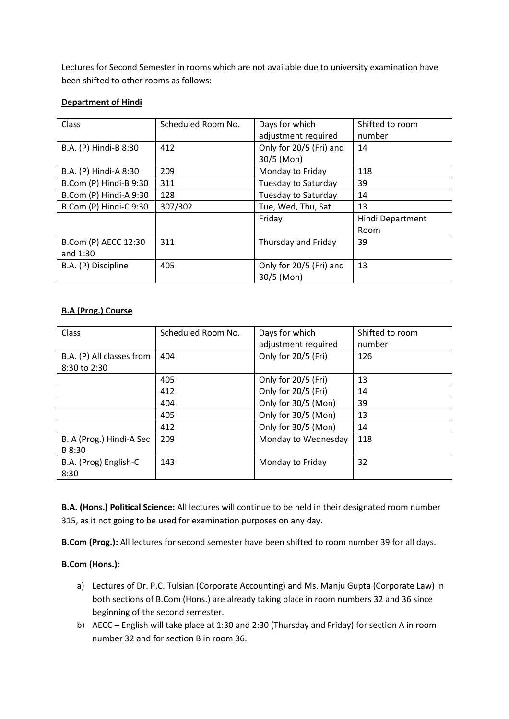Lectures for Second Semester in rooms which are not available due to university examination have been shifted to other rooms as follows:

## **Department of Hindi**

| Class                  | Scheduled Room No. | Days for which          | Shifted to room  |
|------------------------|--------------------|-------------------------|------------------|
|                        |                    | adjustment required     | number           |
| B.A. (P) Hindi-B 8:30  | 412                | Only for 20/5 (Fri) and | 14               |
|                        |                    | $30/5$ (Mon)            |                  |
| B.A. (P) Hindi-A 8:30  | 209                | Monday to Friday        | 118              |
| B.Com (P) Hindi-B 9:30 | 311                | Tuesday to Saturday     | 39               |
| B.Com (P) Hindi-A 9:30 | 128                | Tuesday to Saturday     | 14               |
| B.Com (P) Hindi-C 9:30 | 307/302            | Tue, Wed, Thu, Sat      | 13               |
|                        |                    | Friday                  | Hindi Department |
|                        |                    |                         | Room             |
| B.Com (P) AECC 12:30   | 311                | Thursday and Friday     | 39               |
| and $1:30$             |                    |                         |                  |
| B.A. (P) Discipline    | 405                | Only for 20/5 (Fri) and | 13               |
|                        |                    | 30/5 (Mon)              |                  |

## **B.A (Prog.) Course**

| Class                                     | Scheduled Room No. | Days for which<br>adjustment required | Shifted to room<br>number |
|-------------------------------------------|--------------------|---------------------------------------|---------------------------|
| B.A. (P) All classes from<br>8:30 to 2:30 | 404                | Only for 20/5 (Fri)                   | 126                       |
|                                           | 405                | Only for 20/5 (Fri)                   | 13                        |
|                                           | 412                | Only for 20/5 (Fri)                   | 14                        |
|                                           | 404                | Only for 30/5 (Mon)                   | 39                        |
|                                           | 405                | Only for 30/5 (Mon)                   | 13                        |
|                                           | 412                | Only for 30/5 (Mon)                   | 14                        |
| B. A (Prog.) Hindi-A Sec<br>B 8:30        | 209                | Monday to Wednesday                   | 118                       |
| B.A. (Prog) English-C<br>8:30             | 143                | Monday to Friday                      | 32                        |

**B.A. (Hons.) Political Science:** All lectures will continue to be held in their designated room number 315, as it not going to be used for examination purposes on any day.

**B.Com (Prog.):** All lectures for second semester have been shifted to room number 39 for all days.

## **B.Com (Hons.)**:

- a) Lectures of Dr. P.C. Tulsian (Corporate Accounting) and Ms. Manju Gupta (Corporate Law) in both sections of B.Com (Hons.) are already taking place in room numbers 32 and 36 since beginning of the second semester.
- b) AECC English will take place at 1:30 and 2:30 (Thursday and Friday) for section A in room number 32 and for section B in room 36.